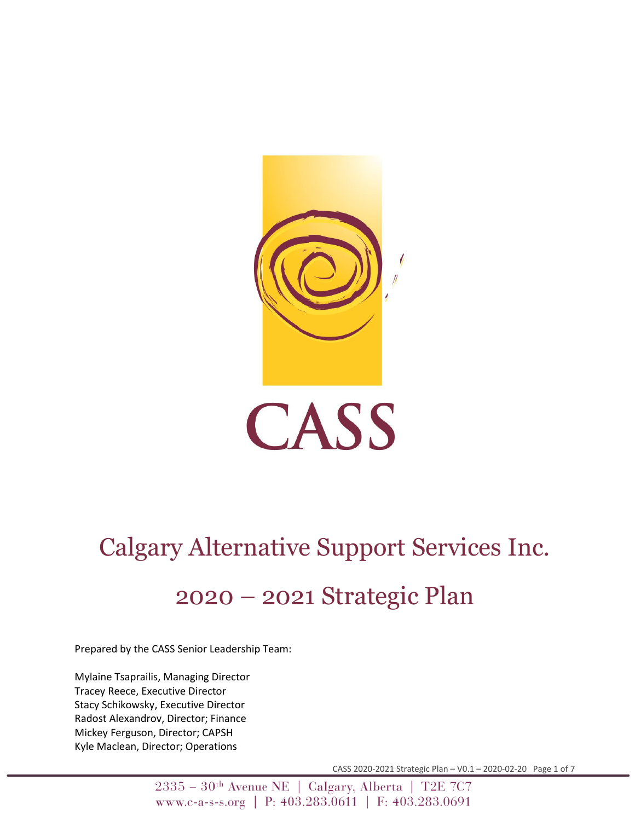

# Calgary Alternative Support Services Inc.

## 2020 – 2021 Strategic Plan

Prepared by the CASS Senior Leadership Team:

Mylaine Tsaprailis, Managing Director Tracey Reece, Executive Director Stacy Schikowsky, Executive Director Radost Alexandrov, Director; Finance Mickey Ferguson, Director; CAPSH Kyle Maclean, Director; Operations

CASS 2020-2021 Strategic Plan – V0.1 – 2020-02-20 Page 1 of 7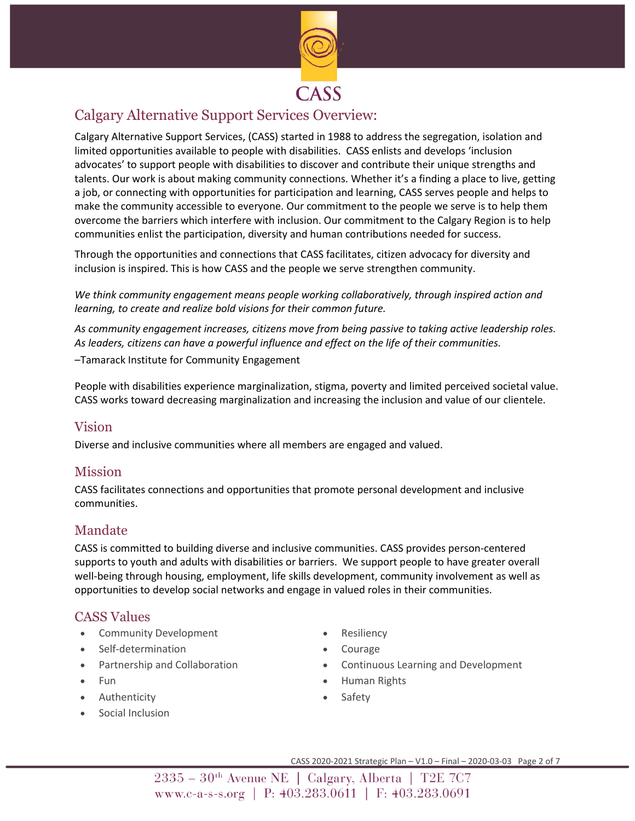

## Calgary Alternative Support Services Overview:

Calgary Alternative Support Services, (CASS) started in 1988 to address the segregation, isolation and limited opportunities available to people with disabilities. CASS enlists and develops 'inclusion advocates' to support people with disabilities to discover and contribute their unique strengths and talents. Our work is about making community connections. Whether it's a finding a place to live, getting a job, or connecting with opportunities for participation and learning, CASS serves people and helps to make the community accessible to everyone. Our commitment to the people we serve is to help them overcome the barriers which interfere with inclusion. Our commitment to the Calgary Region is to help communities enlist the participation, diversity and human contributions needed for success.

Through the opportunities and connections that CASS facilitates, citizen advocacy for diversity and inclusion is inspired. This is how CASS and the people we serve strengthen community.

*We think community engagement means people working collaboratively, through inspired action and learning, to create and realize bold visions for their common future.*

*As community engagement increases, citizens move from being passive to taking active leadership roles. As leaders, citizens can have a powerful influence and effect on the life of their communities.*

–Tamarack Institute for Community Engagement

People with disabilities experience marginalization, stigma, poverty and limited perceived societal value. CASS works toward decreasing marginalization and increasing the inclusion and value of our clientele.

#### Vision

Diverse and inclusive communities where all members are engaged and valued.

#### Mission

CASS facilitates connections and opportunities that promote personal development and inclusive communities.

#### Mandate

CASS is committed to building diverse and inclusive communities. CASS provides person-centered supports to youth and adults with disabilities or barriers. We support people to have greater overall well-being through housing, employment, life skills development, community involvement as well as opportunities to develop social networks and engage in valued roles in their communities.

#### CASS Values

- Community Development
- Self-determination
- Partnership and Collaboration
- Fun
- Authenticity
- Social Inclusion
- **Resiliency**
- **Courage**
- Continuous Learning and Development
- Human Rights
- **Safety**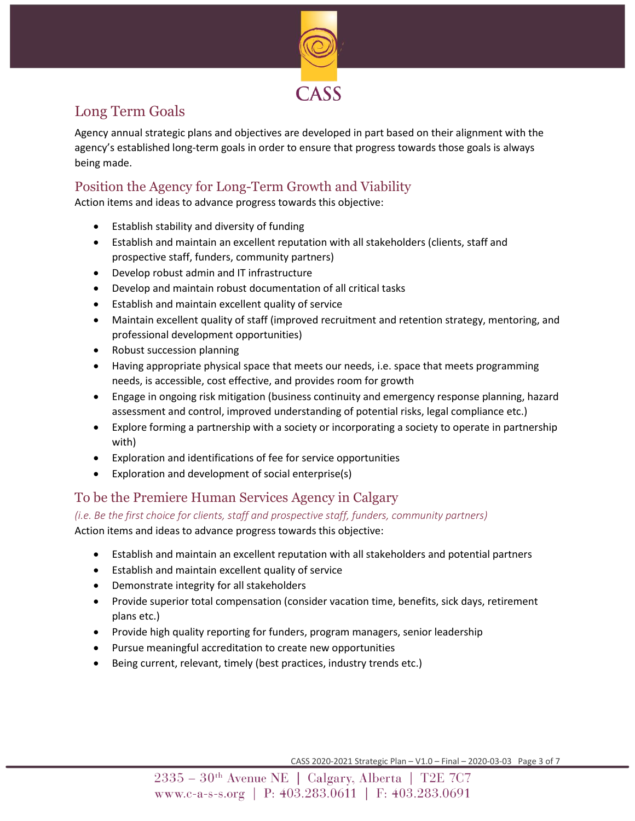

## Long Term Goals

Agency annual strategic plans and objectives are developed in part based on their alignment with the agency's established long-term goals in order to ensure that progress towards those goals is always being made.

### Position the Agency for Long-Term Growth and Viability

Action items and ideas to advance progress towards this objective:

- Establish stability and diversity of funding
- Establish and maintain an excellent reputation with all stakeholders (clients, staff and prospective staff, funders, community partners)
- Develop robust admin and IT infrastructure
- Develop and maintain robust documentation of all critical tasks
- Establish and maintain excellent quality of service
- Maintain excellent quality of staff (improved recruitment and retention strategy, mentoring, and professional development opportunities)
- Robust succession planning
- Having appropriate physical space that meets our needs, i.e. space that meets programming needs, is accessible, cost effective, and provides room for growth
- Engage in ongoing risk mitigation (business continuity and emergency response planning, hazard assessment and control, improved understanding of potential risks, legal compliance etc.)
- Explore forming a partnership with a society or incorporating a society to operate in partnership with)
- Exploration and identifications of fee for service opportunities
- Exploration and development of social enterprise(s)

#### To be the Premiere Human Services Agency in Calgary

*(i.e. Be the first choice for clients, staff and prospective staff, funders, community partners)*

Action items and ideas to advance progress towards this objective:

- Establish and maintain an excellent reputation with all stakeholders and potential partners
- Establish and maintain excellent quality of service
- Demonstrate integrity for all stakeholders
- Provide superior total compensation (consider vacation time, benefits, sick days, retirement plans etc.)
- Provide high quality reporting for funders, program managers, senior leadership
- Pursue meaningful accreditation to create new opportunities
- Being current, relevant, timely (best practices, industry trends etc.)

CASS 2020-2021 Strategic Plan – V1.0 – Final – 2020-03-03 Page 3 of 7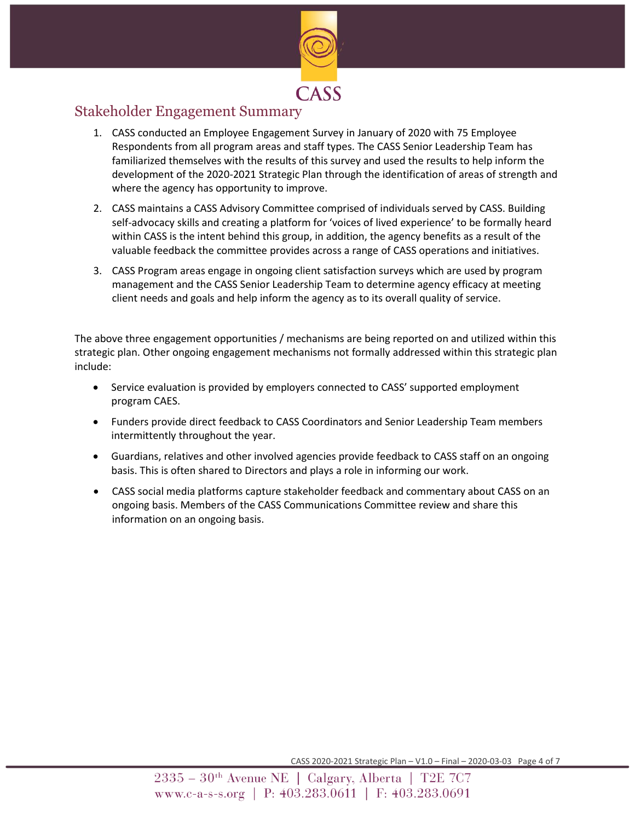

### Stakeholder Engagement Summary

- 1. CASS conducted an Employee Engagement Survey in January of 2020 with 75 Employee Respondents from all program areas and staff types. The CASS Senior Leadership Team has familiarized themselves with the results of this survey and used the results to help inform the development of the 2020-2021 Strategic Plan through the identification of areas of strength and where the agency has opportunity to improve.
- 2. CASS maintains a CASS Advisory Committee comprised of individuals served by CASS. Building self-advocacy skills and creating a platform for 'voices of lived experience' to be formally heard within CASS is the intent behind this group, in addition, the agency benefits as a result of the valuable feedback the committee provides across a range of CASS operations and initiatives.
- 3. CASS Program areas engage in ongoing client satisfaction surveys which are used by program management and the CASS Senior Leadership Team to determine agency efficacy at meeting client needs and goals and help inform the agency as to its overall quality of service.

The above three engagement opportunities / mechanisms are being reported on and utilized within this strategic plan. Other ongoing engagement mechanisms not formally addressed within this strategic plan include:

- Service evaluation is provided by employers connected to CASS' supported employment program CAES.
- Funders provide direct feedback to CASS Coordinators and Senior Leadership Team members intermittently throughout the year.
- Guardians, relatives and other involved agencies provide feedback to CASS staff on an ongoing basis. This is often shared to Directors and plays a role in informing our work.
- CASS social media platforms capture stakeholder feedback and commentary about CASS on an ongoing basis. Members of the CASS Communications Committee review and share this information on an ongoing basis.

CASS 2020-2021 Strategic Plan – V1.0 – Final – 2020-03-03 Page 4 of 7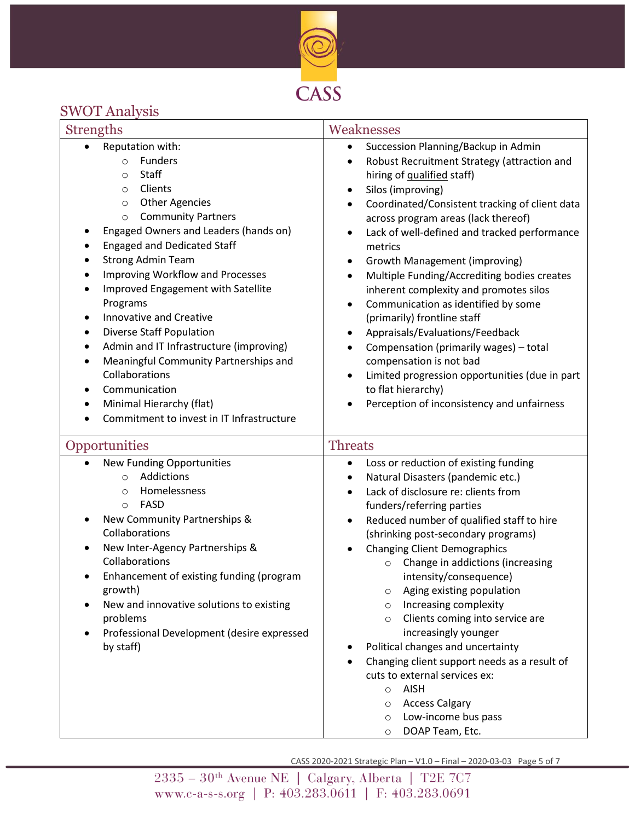

## SWOT Analysis

| <b>Strengths</b>                                                                                                                                                                                                                                                                                                                                                                                                                                                                                                                                                                                                                                                                   | Weaknesses                                                                                                                                                                                                                                                                                                                                                                                                                                                                                                                                                                                                                                                                                                                                                                                                 |  |
|------------------------------------------------------------------------------------------------------------------------------------------------------------------------------------------------------------------------------------------------------------------------------------------------------------------------------------------------------------------------------------------------------------------------------------------------------------------------------------------------------------------------------------------------------------------------------------------------------------------------------------------------------------------------------------|------------------------------------------------------------------------------------------------------------------------------------------------------------------------------------------------------------------------------------------------------------------------------------------------------------------------------------------------------------------------------------------------------------------------------------------------------------------------------------------------------------------------------------------------------------------------------------------------------------------------------------------------------------------------------------------------------------------------------------------------------------------------------------------------------------|--|
| Reputation with:<br>Funders<br>$\circ$<br>Staff<br>O<br>Clients<br>$\circ$<br><b>Other Agencies</b><br>$\circ$<br><b>Community Partners</b><br>$\circ$<br>Engaged Owners and Leaders (hands on)<br><b>Engaged and Dedicated Staff</b><br><b>Strong Admin Team</b><br>Improving Workflow and Processes<br>٠<br>Improved Engagement with Satellite<br>$\bullet$<br>Programs<br><b>Innovative and Creative</b><br>٠<br><b>Diverse Staff Population</b><br>٠<br>Admin and IT Infrastructure (improving)<br>$\bullet$<br>Meaningful Community Partnerships and<br>Collaborations<br>Communication<br>Minimal Hierarchy (flat)<br>$\bullet$<br>Commitment to invest in IT Infrastructure | Succession Planning/Backup in Admin<br>$\bullet$<br>Robust Recruitment Strategy (attraction and<br>hiring of qualified staff)<br>Silos (improving)<br>$\bullet$<br>Coordinated/Consistent tracking of client data<br>across program areas (lack thereof)<br>Lack of well-defined and tracked performance<br>$\bullet$<br>metrics<br>Growth Management (improving)<br>٠<br>Multiple Funding/Accrediting bodies creates<br>$\bullet$<br>inherent complexity and promotes silos<br>Communication as identified by some<br>(primarily) frontline staff<br>Appraisals/Evaluations/Feedback<br>$\bullet$<br>Compensation (primarily wages) - total<br>compensation is not bad<br>Limited progression opportunities (due in part<br>$\bullet$<br>to flat hierarchy)<br>Perception of inconsistency and unfairness |  |
| Opportunities<br><b>New Funding Opportunities</b><br>Addictions<br>$\circ$<br>Homelessness<br>$\circ$<br>FASD<br>$\circ$<br>New Community Partnerships &<br>Collaborations<br>New Inter-Agency Partnerships &<br>Collaborations<br>Enhancement of existing funding (program<br>growth)                                                                                                                                                                                                                                                                                                                                                                                             | <b>Threats</b><br>Loss or reduction of existing funding<br>$\bullet$<br>Natural Disasters (pandemic etc.)<br>٠<br>Lack of disclosure re: clients from<br>$\bullet$<br>funders/referring parties<br>Reduced number of qualified staff to hire<br>(shrinking post-secondary programs)<br><b>Changing Client Demographics</b><br>Change in addictions (increasing<br>$\circ$<br>intensity/consequence)<br>Aging existing population<br>$\circ$                                                                                                                                                                                                                                                                                                                                                                |  |
| New and innovative solutions to existing<br>problems<br>Professional Development (desire expressed<br>by staff)                                                                                                                                                                                                                                                                                                                                                                                                                                                                                                                                                                    | Increasing complexity<br>$\circ$<br>Clients coming into service are<br>$\circ$<br>increasingly younger<br>Political changes and uncertainty<br>Changing client support needs as a result of<br>cuts to external services ex:<br>AISH<br>$\circ$<br><b>Access Calgary</b><br>$\circ$<br>Low-income bus pass<br>$\circ$<br>DOAP Team, Etc.<br>$\circ$                                                                                                                                                                                                                                                                                                                                                                                                                                                        |  |

CASS 2020-2021 Strategic Plan – V1.0 – Final – 2020-03-03 Page 5 of 7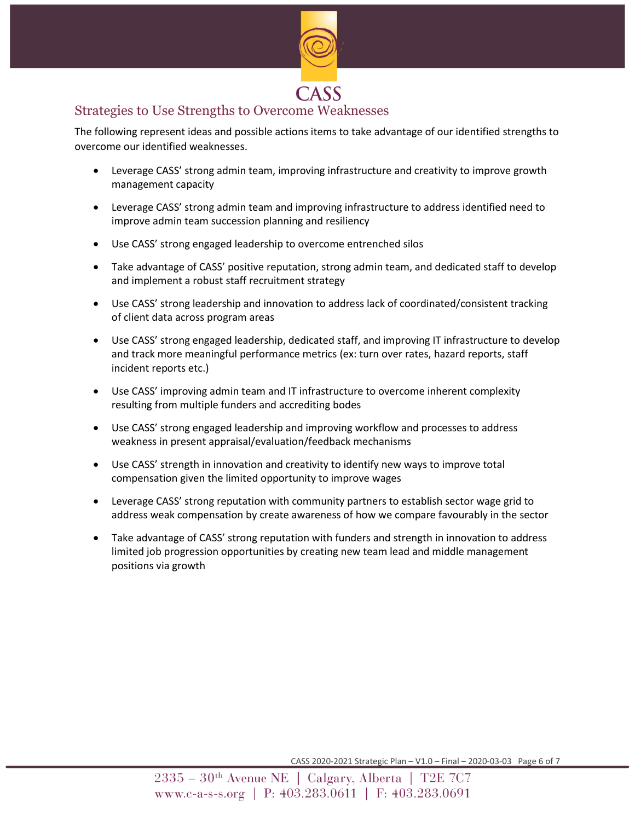

### Strategies to Use Strengths to Overcome Weaknesses

The following represent ideas and possible actions items to take advantage of our identified strengths to overcome our identified weaknesses.

- Leverage CASS' strong admin team, improving infrastructure and creativity to improve growth management capacity
- Leverage CASS' strong admin team and improving infrastructure to address identified need to improve admin team succession planning and resiliency
- Use CASS' strong engaged leadership to overcome entrenched silos
- Take advantage of CASS' positive reputation, strong admin team, and dedicated staff to develop and implement a robust staff recruitment strategy
- Use CASS' strong leadership and innovation to address lack of coordinated/consistent tracking of client data across program areas
- Use CASS' strong engaged leadership, dedicated staff, and improving IT infrastructure to develop and track more meaningful performance metrics (ex: turn over rates, hazard reports, staff incident reports etc.)
- Use CASS' improving admin team and IT infrastructure to overcome inherent complexity resulting from multiple funders and accrediting bodes
- Use CASS' strong engaged leadership and improving workflow and processes to address weakness in present appraisal/evaluation/feedback mechanisms
- Use CASS' strength in innovation and creativity to identify new ways to improve total compensation given the limited opportunity to improve wages
- Leverage CASS' strong reputation with community partners to establish sector wage grid to address weak compensation by create awareness of how we compare favourably in the sector
- Take advantage of CASS' strong reputation with funders and strength in innovation to address limited job progression opportunities by creating new team lead and middle management positions via growth

CASS 2020-2021 Strategic Plan – V1.0 – Final – 2020-03-03 Page 6 of 7